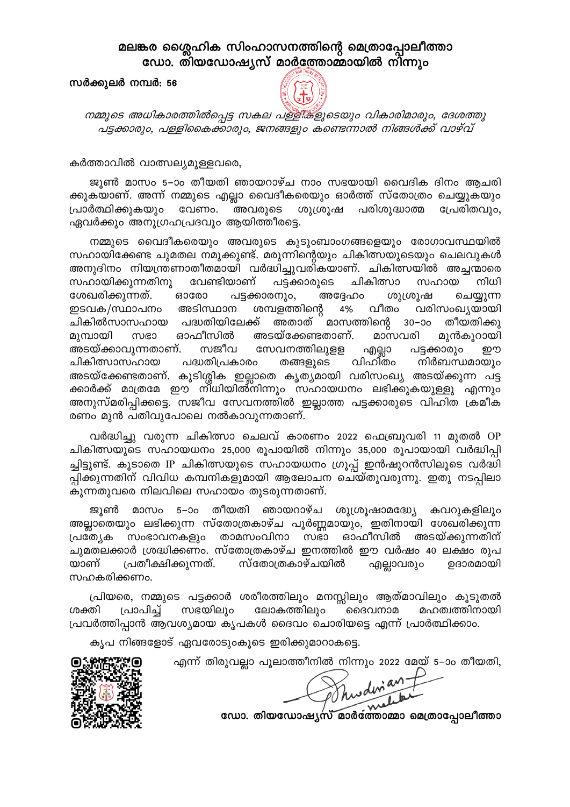## മലങ്കര ശ്ലൈഹിക സിംഹാസനത്തിന്റെ മെത്രാപ്പോലീത്താ ഡോ. തിയഡോഷ്യസ് മാർത്തോമ്മായിൽ നിന്നും

## സർക്കുലർ നമ്പർ: 56



നമ്മുടെ അധികാരത്തിൽപ്പെട്ട സകല പള്ളിക്ളുടെയും വികാരിമാരും, ദേശത്തു പട്ടക്കാരും, പള്ളികൈക്കാരും, ജനങ്ങളും കണ്ടെന്നാൽ നിങ്ങൾക്ക് വാഴ്വ്

കർത്താവിൽ വാത്സല്യമുള്ളവരെ,

ജൂൺ മാസം 5–ാം തീയതി ഞായറാഴ്ച നാം സഭയായി വൈദിക ദിനം ആചരി ക്കുകയാണ്. അന്ന് നമ്മുടെ എല്ലാ വൈദീകരെയും ഓർത്ത് സ്തോത്രം ചെയ്യുകയും പ്രാർത്ഥിക്കുകയും വേണം. അവരുടെ ശുശ്രൂഷ പരിശുദ്ധാത്മ പ്രേരിതവും, ഏവർക്കും അനുഗ്രഹപ്രദവും ആയിത്തീരട്ടെ.

നമ്മുടെ വൈദീകരെയും അവരുടെ കുടുംബാംഗങ്ങളെയും രോഗാവസ്ഥയിൽ സഹായിക്കേണ്ട ചുമതല നമുക്കുണ്ട്. മരുന്നിന്റെയും ചികിത്സയുടെയും ചെലവുകൾ അനുദിനം നിയന്ത്രണാതീതമായി വർദ്ധിച്ചുവരികയാണ്. ചികിത്സയിൽ അച്ചന്മാരെ ചികിത്സാ സഹായിക്കുന്നതിനു വേണ്ടിയാണ് പടക്കാരുടെ സഹായ നിധി ശേഖരിക്കുന്നത്. **ഒാരോ** പട്ടക്കാരനും, അദ്ദേഹം ശുശ്രൂഷ ചെയ്യുന്ന ഇടവക/സ്ഥാപനം അടിസ്ഥാന ശമ്പളത്തിന്റെ 4% വീതം വരിസംഖ്യയായി ചികിൽസാസഹായ പദ്ധതിയിലേക്ക് അതാത് മാസത്തിന്റെ 30–ാം തീയതിക്കു സഭാ ഓഫീസിൽ അടയ്ക്കേണ്ടതാണ്. മാസവരി മുമ്പായി മുൻകൂറായി അടയ്ക്കാവുന്നതാണ്. സജീവ സേവനത്തിലുള്ള എല്ലാ പട്ടക്കാരും றற ചികിത്സാസഹായ പദ്ധതിപ്രകാരം തങ്ങളുടെ വിഹിതം നിർബന്ധമായും അടയ്ക്കേണ്ടതാണ്. കുടിശ്ശിക ഇല്ലാതെ കൃത്യമായി വരിസംഖ്യ അടയ്ക്കുന്ന പട്ട ക്കാർക്ക് മാത്രമേ ഈ നി്ധിയിൽ്നിന്നും സഹായധനം ലഭിക്കുകയുള്ളു എന്നും അനുസ്മരിപ്പിക്കട്ടെ. സജീവ സേവനത്തിൽ ഇല്ലാത്ത പട്ടക്കാരുടെ വിഹിത ക്രമീക രണം മുൻ പതിവുപോലെ നൽകാവുന്നതാണ്.

വർദ്ധിച്ചു വരുന്ന ചികിത്സാ ചെലവ് കാരണം 2022 ഫെബ്രുവരി 11 മുതൽ OP ചികിത്സയുടെ സഹായധനം 25,000 രൂപായിൽ നിന്നും 35,000 രൂപായായി വർദ്ധിപ്പി ച്ചിട്ടുണ്ട്. കൂടാതെ IP ചികിത്സയുടെ സഹായധനം ഗ്രൂപ്പ് ഇൻഷുറൻസിലൂടെ വർദ്ധി പ്പിക്കുന്നതിന് വിവിധ കമ്പനികളുമായി ആലോചന ചെയ്തുവരുന്നു. ഇതു നടപ്പിലാ കുന്നതുവരെ നിലവിലെ സഹായം തുടരുന്നതാണ്.

ജൂൺ മാസം 5–ാം തീയതി ഞായറാഴ്ച ശുശ്രൂഷാമദ്ധ്യേ കവറുകളിലും അല്ലാതെയും ലഭിക്കുന്ന സ്തോത്രകാഴ്ച പൂർണ്ണമായും, ഇതിനായി ശേഖരിക്കുന്ന സംഭാവനകളും താമസംവിനാ സഭാ ഓഫീസിൽ അടയ്ക്കുന്നതിന് പ്രത്യേക ചുമതലക്കാർ ശ്രദ്ധിക്കണം. സ്തോത്രകാഴ്ച ഇനത്തിൽ ഈ വർഷം 40 ലക്ഷം രൂപ സ്തോത്രകാഴ്ചയിൽ യാണ് പ്രതീക്ഷിക്കുന്നത്. എല്ലാവരും ഉദാരമായി സഹകരിക്കണം.

പ്രിയരെ, നമ്മുടെ പട്ടക്കാർ ശരീരത്തിലും മനസ്സിലും ആത്മാവിലും കൂടുതൽ ശക്തി പ്രാപിച്ച് സഭയിലും ലോകത്തിലും ദൈവനാമ മഹത്വത്തിനായി പ്രവർത്തിപ്പാൻ ആവശ്യമായ കൃപകൾ ദൈവം ചൊരിയടെ എന്ന് പ്രാർത്ഥിക്കാം.

കൃപ നിങ്ങളോട് ഏവരോടുംകൂടെ ഇരിക്കുമാറാകട്ടെ.

എന്ന് തിരുവല്ലാ പൂലാത്തീനിൽ നിന്നും 2022 മേയ് 5–ാം തീയതി,



Shwdinan +

ഡോ. തിയഡോഷ്യസ് മാർത്തോമ്മാ മെത്രാപ്പോലീത്താ